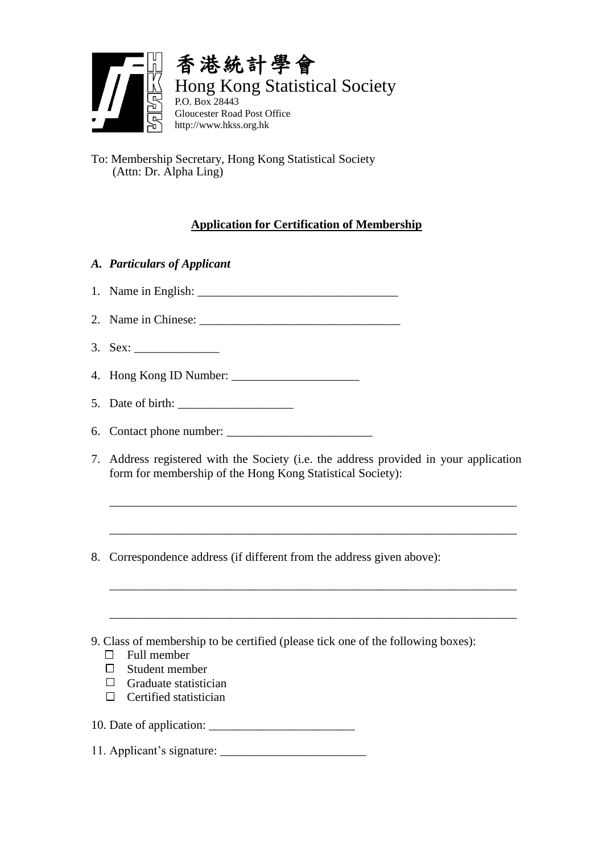

To: Membership Secretary, Hong Kong Statistical Society (Attn: Dr. Alpha Ling)

## **Application for Certification of Membership**

- *A. Particulars of Applicant*
- 1. Name in English:
- 2. Name in Chinese:
- 3. Sex: \_\_\_\_\_\_\_\_\_\_\_\_\_\_
- 4. Hong Kong ID Number: \_\_\_\_\_\_\_\_\_\_\_\_\_\_\_\_\_\_\_\_\_
- 5. Date of birth:
- 6. Contact phone number: \_\_\_\_\_\_\_\_\_\_\_\_\_\_\_\_\_\_\_\_\_\_\_\_
- 7. Address registered with the Society (i.e. the address provided in your application form for membership of the Hong Kong Statistical Society):

\_\_\_\_\_\_\_\_\_\_\_\_\_\_\_\_\_\_\_\_\_\_\_\_\_\_\_\_\_\_\_\_\_\_\_\_\_\_\_\_\_\_\_\_\_\_\_\_\_\_\_\_\_\_\_\_\_\_\_\_\_\_\_\_\_\_\_

\_\_\_\_\_\_\_\_\_\_\_\_\_\_\_\_\_\_\_\_\_\_\_\_\_\_\_\_\_\_\_\_\_\_\_\_\_\_\_\_\_\_\_\_\_\_\_\_\_\_\_\_\_\_\_\_\_\_\_\_\_\_\_\_\_\_\_

\_\_\_\_\_\_\_\_\_\_\_\_\_\_\_\_\_\_\_\_\_\_\_\_\_\_\_\_\_\_\_\_\_\_\_\_\_\_\_\_\_\_\_\_\_\_\_\_\_\_\_\_\_\_\_\_\_\_\_\_\_\_\_\_\_\_\_

\_\_\_\_\_\_\_\_\_\_\_\_\_\_\_\_\_\_\_\_\_\_\_\_\_\_\_\_\_\_\_\_\_\_\_\_\_\_\_\_\_\_\_\_\_\_\_\_\_\_\_\_\_\_\_\_\_\_\_\_\_\_\_\_\_\_\_

- 8. Correspondence address (if different from the address given above):
- 9. Class of membership to be certified (please tick one of the following boxes):
	- $\Box$  Full member
	- $\Box$  Student member
	- $\Box$  Graduate statistician
	- $\Box$  Certified statistician

10. Date of application: \_\_\_\_\_\_\_\_\_\_\_\_\_\_\_\_\_\_\_\_\_\_\_\_

11. Applicant's signature: \_\_\_\_\_\_\_\_\_\_\_\_\_\_\_\_\_\_\_\_\_\_\_\_